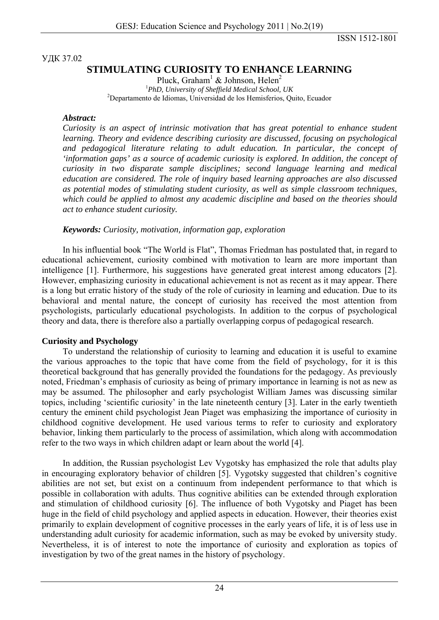ISSN 1512-1801

УДК 37.02

# **STIMULATING CURIOSITY TO ENHANCE LEARNING**

Pluck, Graham<sup>1</sup> & Johnson, Helen<sup>2</sup> <sup>1</sup>PhD, University of Sheffield Medical School, UK<sup>2</sup><br><sup>2</sup>Departments de Idiamas, Universidad de les Hemisferies, Ou Departamento de Idiomas, Universidad de los Hemisferios, Quito, Ecuador

#### *Abstract:*

*Curiosity is an aspect of intrinsic motivation that has great potential to enhance student learning. Theory and evidence describing curiosity are discussed, focusing on psychological and pedagogical literature relating to adult education. In particular, the concept of 'information gaps' as a source of academic curiosity is explored. In addition, the concept of curiosity in two disparate sample disciplines; second language learning and medical education are considered. The role of inquiry based learning approaches are also discussed as potential modes of stimulating student curiosity, as well as simple classroom techniques, which could be applied to almost any academic discipline and based on the theories should act to enhance student curiosity.* 

#### *Keywords: Curiosity, motivation, information gap, exploration*

In his influential book "The World is Flat", Thomas Friedman has postulated that, in regard to educational achievement, curiosity combined with motivation to learn are more important than intelligence [1]. Furthermore, his suggestions have generated great interest among educators [2]. However, emphasizing curiosity in educational achievement is not as recent as it may appear. There is a long but erratic history of the study of the role of curiosity in learning and education. Due to its behavioral and mental nature, the concept of curiosity has received the most attention from psychologists, particularly educational psychologists. In addition to the corpus of psychological theory and data, there is therefore also a partially overlapping corpus of pedagogical research.

### **Curiosity and Psychology**

To understand the relationship of curiosity to learning and education it is useful to examine the various approaches to the topic that have come from the field of psychology, for it is this theoretical background that has generally provided the foundations for the pedagogy. As previously noted, Friedman's emphasis of curiosity as being of primary importance in learning is not as new as may be assumed. The philosopher and early psychologist William James was discussing similar topics, including 'scientific curiosity' in the late nineteenth century [3]. Later in the early twentieth century the eminent child psychologist Jean Piaget was emphasizing the importance of curiosity in childhood cognitive development. He used various terms to refer to curiosity and exploratory behavior, linking them particularly to the process of assimilation, which along with accommodation refer to the two ways in which children adapt or learn about the world [4].

In addition, the Russian psychologist Lev Vygotsky has emphasized the role that adults play in encouraging exploratory behavior of children [5]. Vygotsky suggested that children's cognitive abilities are not set, but exist on a continuum from independent performance to that which is possible in collaboration with adults. Thus cognitive abilities can be extended through exploration and stimulation of childhood curiosity [6]. The influence of both Vygotsky and Piaget has been huge in the field of child psychology and applied aspects in education. However, their theories exist primarily to explain development of cognitive processes in the early years of life, it is of less use in understanding adult curiosity for academic information, such as may be evoked by university study. Nevertheless, it is of interest to note the importance of curiosity and exploration as topics of investigation by two of the great names in the history of psychology.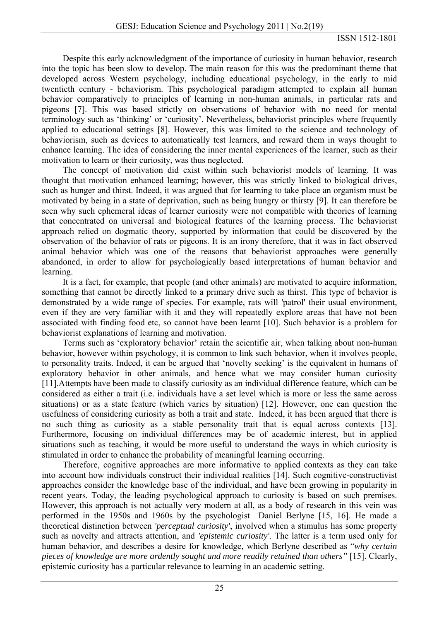Despite this early acknowledgment of the importance of curiosity in human behavior, research into the topic has been slow to develop. The main reason for this was the predominant theme that developed across Western psychology, including educational psychology, in the early to mid twentieth century - behaviorism. This psychological paradigm attempted to explain all human behavior comparatively to principles of learning in non-human animals, in particular rats and pigeons [7]. This was based strictly on observations of behavior with no need for mental terminology such as 'thinking' or 'curiosity'. Nevertheless, behaviorist principles where frequently applied to educational settings [8]. However, this was limited to the science and technology of behaviorism, such as devices to automatically test learners, and reward them in ways thought to enhance learning. The idea of considering the inner mental experiences of the learner, such as their motivation to learn or their curiosity, was thus neglected.

The concept of motivation did exist within such behaviorist models of learning. It was thought that motivation enhanced learning; however, this was strictly linked to biological drives, such as hunger and thirst. Indeed, it was argued that for learning to take place an organism must be motivated by being in a state of deprivation, such as being hungry or thirsty [9]. It can therefore be seen why such ephemeral ideas of learner curiosity were not compatible with theories of learning that concentrated on universal and biological features of the learning process. The behaviorist approach relied on dogmatic theory, supported by information that could be discovered by the observation of the behavior of rats or pigeons. It is an irony therefore, that it was in fact observed animal behavior which was one of the reasons that behaviorist approaches were generally abandoned, in order to allow for psychologically based interpretations of human behavior and learning.

It is a fact, for example, that people (and other animals) are motivated to acquire information, something that cannot be directly linked to a primary drive such as thirst. This type of behavior is demonstrated by a wide range of species. For example, rats will 'patrol' their usual environment, even if they are very familiar with it and they will repeatedly explore areas that have not been associated with finding food etc, so cannot have been learnt [10]. Such behavior is a problem for behaviorist explanations of learning and motivation.

Terms such as 'exploratory behavior' retain the scientific air, when talking about non-human behavior, however within psychology, it is common to link such behavior, when it involves people, to personality traits. Indeed, it can be argued that 'novelty seeking' is the equivalent in humans of exploratory behavior in other animals, and hence what we may consider human curiosity [11].Attempts have been made to classify curiosity as an individual difference feature, which can be considered as either a trait (i.e. individuals have a set level which is more or less the same across situations) or as a state feature (which varies by situation) [12]. However, one can question the usefulness of considering curiosity as both a trait and state. Indeed, it has been argued that there is no such thing as curiosity as a stable personality trait that is equal across contexts [13]. Furthermore, focusing on individual differences may be of academic interest, but in applied situations such as teaching, it would be more useful to understand the ways in which curiosity is stimulated in order to enhance the probability of meaningful learning occurring.

Therefore, cognitive approaches are more informative to applied contexts as they can take into account how individuals construct their individual realities [14]. Such cognitive-constructivist approaches consider the knowledge base of the individual, and have been growing in popularity in recent years. Today, the leading psychological approach to curiosity is based on such premises. However, this approach is not actually very modern at all, as a body of research in this vein was performed in the 1950s and 1960s by the psychologist Daniel Berlyne [15, 16]. He made a theoretical distinction between *'perceptual curiosity'*, involved when a stimulus has some property such as novelty and attracts attention, and *'epistemic curiosity'*. The latter is a term used only for human behavior, and describes a desire for knowledge, which Berlyne described as "*why certain pieces of knowledge are more ardently sought and more readily retained than others"* [15]. Clearly, epistemic curiosity has a particular relevance to learning in an academic setting.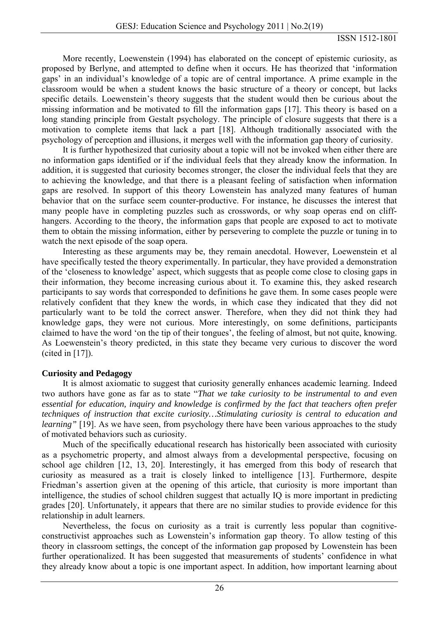More recently, Loewenstein (1994) has elaborated on the concept of epistemic curiosity, as proposed by Berlyne, and attempted to define when it occurs. He has theorized that 'information gaps' in an individual's knowledge of a topic are of central importance. A prime example in the classroom would be when a student knows the basic structure of a theory or concept, but lacks specific details. Loewenstein's theory suggests that the student would then be curious about the missing information and be motivated to fill the information gaps [17]. This theory is based on a long standing principle from Gestalt psychology. The principle of closure suggests that there is a motivation to complete items that lack a part [18]. Although traditionally associated with the psychology of perception and illusions, it merges well with the information gap theory of curiosity.

It is further hypothesized that curiosity about a topic will not be invoked when either there are no information gaps identified or if the individual feels that they already know the information. In addition, it is suggested that curiosity becomes stronger, the closer the individual feels that they are to achieving the knowledge, and that there is a pleasant feeling of satisfaction when information gaps are resolved. In support of this theory Lowenstein has analyzed many features of human behavior that on the surface seem counter-productive. For instance, he discusses the interest that many people have in completing puzzles such as crosswords, or why soap operas end on cliffhangers. According to the theory, the information gaps that people are exposed to act to motivate them to obtain the missing information, either by persevering to complete the puzzle or tuning in to watch the next episode of the soap opera.

Interesting as these arguments may be, they remain anecdotal. However, Loewenstein et al have specifically tested the theory experimentally. In particular, they have provided a demonstration of the 'closeness to knowledge' aspect, which suggests that as people come close to closing gaps in their information, they become increasing curious about it. To examine this, they asked research participants to say words that corresponded to definitions he gave them. In some cases people were relatively confident that they knew the words, in which case they indicated that they did not particularly want to be told the correct answer. Therefore, when they did not think they had knowledge gaps, they were not curious. More interestingly, on some definitions, participants claimed to have the word 'on the tip of their tongues', the feeling of almost, but not quite, knowing. As Loewenstein's theory predicted, in this state they became very curious to discover the word (cited in [17]).

### **Curiosity and Pedagogy**

It is almost axiomatic to suggest that curiosity generally enhances academic learning. Indeed two authors have gone as far as to state "*That we take curiosity to be instrumental to and even essential for education, inquiry and knowledge is confirmed by the fact that teachers often prefer techniques of instruction that excite curiosity…Stimulating curiosity is central to education and learning*" [19]. As we have seen, from psychology there have been various approaches to the study of motivated behaviors such as curiosity.

Much of the specifically educational research has historically been associated with curiosity as a psychometric property, and almost always from a developmental perspective, focusing on school age children [12, 13, 20]. Interestingly, it has emerged from this body of research that curiosity as measured as a trait is closely linked to intelligence [13]. Furthermore, despite Friedman's assertion given at the opening of this article, that curiosity is more important than intelligence, the studies of school children suggest that actually IQ is more important in predicting grades [20]. Unfortunately, it appears that there are no similar studies to provide evidence for this relationship in adult learners.

Nevertheless, the focus on curiosity as a trait is currently less popular than cognitiveconstructivist approaches such as Lowenstein's information gap theory. To allow testing of this theory in classroom settings, the concept of the information gap proposed by Lowenstein has been further operationalized. It has been suggested that measurements of students' confidence in what they already know about a topic is one important aspect. In addition, how important learning about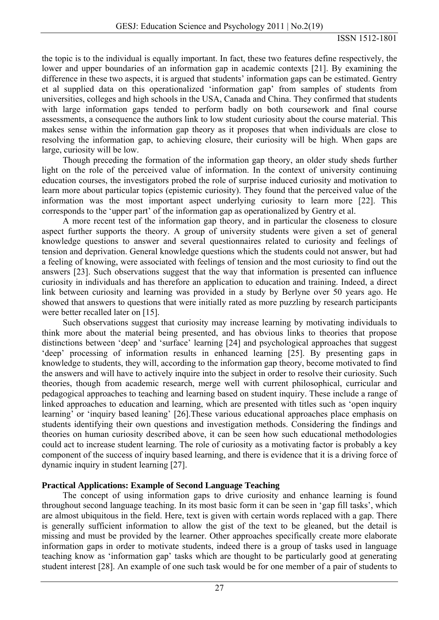the topic is to the individual is equally important. In fact, these two features define respectively, the lower and upper boundaries of an information gap in academic contexts [21]. By examining the difference in these two aspects, it is argued that students' information gaps can be estimated. Gentry et al supplied data on this operationalized 'information gap' from samples of students from universities, colleges and high schools in the USA, Canada and China. They confirmed that students with large information gaps tended to perform badly on both coursework and final course assessments, a consequence the authors link to low student curiosity about the course material. This makes sense within the information gap theory as it proposes that when individuals are close to resolving the information gap, to achieving closure, their curiosity will be high. When gaps are large, curiosity will be low.

Though preceding the formation of the information gap theory, an older study sheds further light on the role of the perceived value of information. In the context of university continuing education courses, the investigators probed the role of surprise induced curiosity and motivation to learn more about particular topics (epistemic curiosity). They found that the perceived value of the information was the most important aspect underlying curiosity to learn more [22]. This corresponds to the 'upper part' of the information gap as operationalized by Gentry et al.

A more recent test of the information gap theory, and in particular the closeness to closure aspect further supports the theory. A group of university students were given a set of general knowledge questions to answer and several questionnaires related to curiosity and feelings of tension and deprivation. General knowledge questions which the students could not answer, but had a feeling of knowing, were associated with feelings of tension and the most curiosity to find out the answers [23]. Such observations suggest that the way that information is presented can influence curiosity in individuals and has therefore an application to education and training. Indeed, a direct link between curiosity and learning was provided in a study by Berlyne over 50 years ago. He showed that answers to questions that were initially rated as more puzzling by research participants were better recalled later on [15].

Such observations suggest that curiosity may increase learning by motivating individuals to think more about the material being presented, and has obvious links to theories that propose distinctions between 'deep' and 'surface' learning [24] and psychological approaches that suggest 'deep' processing of information results in enhanced learning [25]. By presenting gaps in knowledge to students, they will, according to the information gap theory, become motivated to find the answers and will have to actively inquire into the subject in order to resolve their curiosity. Such theories, though from academic research, merge well with current philosophical, curricular and pedagogical approaches to teaching and learning based on student inquiry. These include a range of linked approaches to education and learning, which are presented with titles such as 'open inquiry learning' or 'inquiry based leaning' [26].These various educational approaches place emphasis on students identifying their own questions and investigation methods. Considering the findings and theories on human curiosity described above, it can be seen how such educational methodologies could act to increase student learning. The role of curiosity as a motivating factor is probably a key component of the success of inquiry based learning, and there is evidence that it is a driving force of dynamic inquiry in student learning [27].

## **Practical Applications: Example of Second Language Teaching**

The concept of using information gaps to drive curiosity and enhance learning is found throughout second language teaching. In its most basic form it can be seen in 'gap fill tasks', which are almost ubiquitous in the field. Here, text is given with certain words replaced with a gap. There is generally sufficient information to allow the gist of the text to be gleaned, but the detail is missing and must be provided by the learner. Other approaches specifically create more elaborate information gaps in order to motivate students, indeed there is a group of tasks used in language teaching know as 'information gap' tasks which are thought to be particularly good at generating student interest [28]. An example of one such task would be for one member of a pair of students to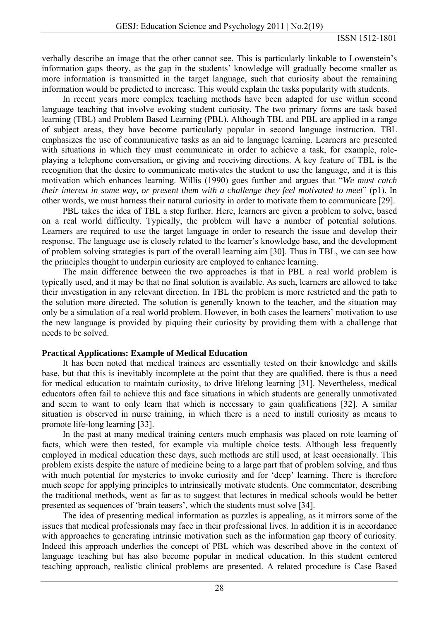verbally describe an image that the other cannot see. This is particularly linkable to Lowenstein's information gaps theory, as the gap in the students' knowledge will gradually become smaller as more information is transmitted in the target language, such that curiosity about the remaining information would be predicted to increase. This would explain the tasks popularity with students.

In recent years more complex teaching methods have been adapted for use within second language teaching that involve evoking student curiosity. The two primary forms are task based learning (TBL) and Problem Based Learning (PBL). Although TBL and PBL are applied in a range of subject areas, they have become particularly popular in second language instruction. TBL emphasizes the use of communicative tasks as an aid to language learning. Learners are presented with situations in which they must communicate in order to achieve a task, for example, roleplaying a telephone conversation, or giving and receiving directions. A key feature of TBL is the recognition that the desire to communicate motivates the student to use the language, and it is this motivation which enhances learning. Willis (1990) goes further and argues that "*We must catch their interest in some way, or present them with a challenge they feel motivated to meet*" (p1). In other words, we must harness their natural curiosity in order to motivate them to communicate [29].

PBL takes the idea of TBL a step further. Here, learners are given a problem to solve, based on a real world difficulty. Typically, the problem will have a number of potential solutions. Learners are required to use the target language in order to research the issue and develop their response. The language use is closely related to the learner's knowledge base, and the development of problem solving strategies is part of the overall learning aim [30]. Thus in TBL, we can see how the principles thought to underpin curiosity are employed to enhance learning.

The main difference between the two approaches is that in PBL a real world problem is typically used, and it may be that no final solution is available. As such, learners are allowed to take their investigation in any relevant direction. In TBL the problem is more restricted and the path to the solution more directed. The solution is generally known to the teacher, and the situation may only be a simulation of a real world problem. However, in both cases the learners' motivation to use the new language is provided by piquing their curiosity by providing them with a challenge that needs to be solved.

### **Practical Applications: Example of Medical Education**

It has been noted that medical trainees are essentially tested on their knowledge and skills base, but that this is inevitably incomplete at the point that they are qualified, there is thus a need for medical education to maintain curiosity, to drive lifelong learning [31]. Nevertheless, medical educators often fail to achieve this and face situations in which students are generally unmotivated and seem to want to only learn that which is necessary to gain qualifications [32]. A similar situation is observed in nurse training, in which there is a need to instill curiosity as means to promote life-long learning [33].

In the past at many medical training centers much emphasis was placed on rote learning of facts, which were then tested, for example via multiple choice tests. Although less frequently employed in medical education these days, such methods are still used, at least occasionally. This problem exists despite the nature of medicine being to a large part that of problem solving, and thus with much potential for mysteries to invoke curiosity and for 'deep' learning. There is therefore much scope for applying principles to intrinsically motivate students. One commentator, describing the traditional methods, went as far as to suggest that lectures in medical schools would be better presented as sequences of 'brain teasers', which the students must solve [34].

The idea of presenting medical information as puzzles is appealing, as it mirrors some of the issues that medical professionals may face in their professional lives. In addition it is in accordance with approaches to generating intrinsic motivation such as the information gap theory of curiosity. Indeed this approach underlies the concept of PBL which was described above in the context of language teaching but has also become popular in medical education. In this student centered teaching approach, realistic clinical problems are presented. A related procedure is Case Based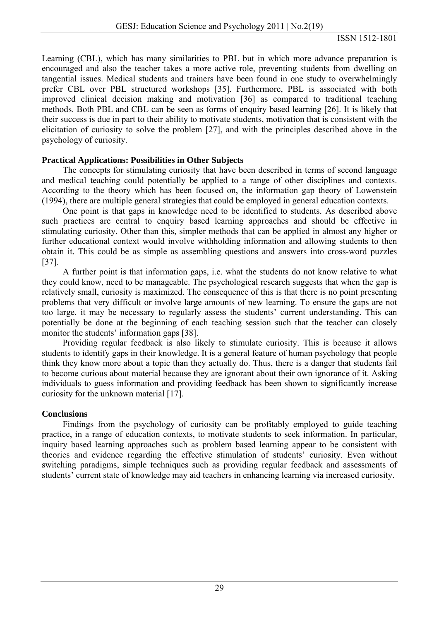Learning (CBL), which has many similarities to PBL but in which more advance preparation is encouraged and also the teacher takes a more active role, preventing students from dwelling on tangential issues. Medical students and trainers have been found in one study to overwhelmingly prefer CBL over PBL structured workshops [35]. Furthermore, PBL is associated with both improved clinical decision making and motivation [36] as compared to traditional teaching methods. Both PBL and CBL can be seen as forms of enquiry based learning [26]. It is likely that their success is due in part to their ability to motivate students, motivation that is consistent with the elicitation of curiosity to solve the problem [27], and with the principles described above in the psychology of curiosity.

### **Practical Applications: Possibilities in Other Subjects**

The concepts for stimulating curiosity that have been described in terms of second language and medical teaching could potentially be applied to a range of other disciplines and contexts. According to the theory which has been focused on, the information gap theory of Lowenstein (1994), there are multiple general strategies that could be employed in general education contexts.

One point is that gaps in knowledge need to be identified to students. As described above such practices are central to enquiry based learning approaches and should be effective in stimulating curiosity. Other than this, simpler methods that can be applied in almost any higher or further educational context would involve withholding information and allowing students to then obtain it. This could be as simple as assembling questions and answers into cross-word puzzles [37].

A further point is that information gaps, i.e. what the students do not know relative to what they could know, need to be manageable. The psychological research suggests that when the gap is relatively small, curiosity is maximized. The consequence of this is that there is no point presenting problems that very difficult or involve large amounts of new learning. To ensure the gaps are not too large, it may be necessary to regularly assess the students' current understanding. This can potentially be done at the beginning of each teaching session such that the teacher can closely monitor the students' information gaps [38].

Providing regular feedback is also likely to stimulate curiosity. This is because it allows students to identify gaps in their knowledge. It is a general feature of human psychology that people think they know more about a topic than they actually do. Thus, there is a danger that students fail to become curious about material because they are ignorant about their own ignorance of it. Asking individuals to guess information and providing feedback has been shown to significantly increase curiosity for the unknown material [17].

### **Conclusions**

Findings from the psychology of curiosity can be profitably employed to guide teaching practice, in a range of education contexts, to motivate students to seek information. In particular, inquiry based learning approaches such as problem based learning appear to be consistent with theories and evidence regarding the effective stimulation of students' curiosity. Even without switching paradigms, simple techniques such as providing regular feedback and assessments of students' current state of knowledge may aid teachers in enhancing learning via increased curiosity.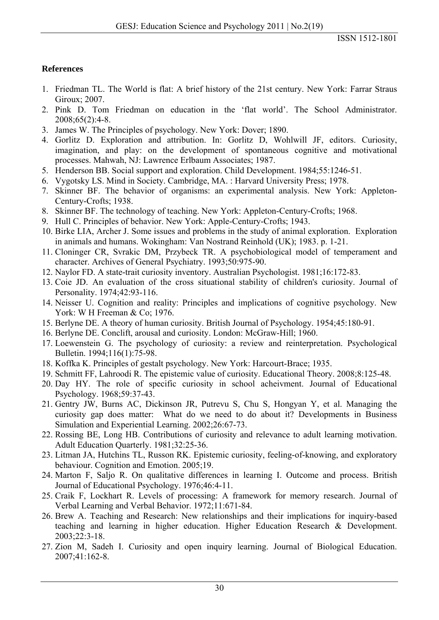## **References**

- 1. Friedman TL. The World is flat: A brief history of the 21st century. New York: Farrar Straus Giroux; 2007.
- 2. Pink D. Tom Friedman on education in the 'flat world'. The School Administrator. 2008;65(2):4-8.
- 3. James W. The Principles of psychology. New York: Dover; 1890.
- 4. Gorlitz D. Exploration and attribution. In: Gorlitz D, Wohlwill JF, editors. Curiosity, imagination, and play: on the development of spontaneous cognitive and motivational processes. Mahwah, NJ: Lawrence Erlbaum Associates; 1987.
- 5. Henderson BB. Social support and exploration. Child Development. 1984;55:1246-51.
- 6. Vygotsky LS. Mind in Society. Cambridge, MA. : Harvard University Press; 1978.
- 7. Skinner BF. The behavior of organisms: an experimental analysis. New York: Appleton-Century-Crofts; 1938.
- 8. Skinner BF. The technology of teaching. New York: Appleton-Century-Crofts; 1968.
- 9. Hull C. Principles of behavior. New York: Apple-Century-Crofts; 1943.
- 10. Birke LIA, Archer J. Some issues and problems in the study of animal exploration. Exploration in animals and humans. Wokingham: Van Nostrand Reinhold (UK); 1983. p. 1-21.
- 11. Cloninger CR, Svrakic DM, Przybeck TR. A psychobiological model of temperament and character. Archives of General Psychiatry. 1993;50:975-90.
- 12. Naylor FD. A state-trait curiosity inventory. Australian Psychologist. 1981;16:172-83.
- 13. Coie JD. An evaluation of the cross situational stability of children's curiosity. Journal of Personality. 1974;42:93-116.
- 14. Neisser U. Cognition and reality: Principles and implications of cognitive psychology. New York: W H Freeman & Co; 1976.
- 15. Berlyne DE. A theory of human curiosity. British Journal of Psychology. 1954;45:180-91.
- 16. Berlyne DE. Conclift, arousal and curiosity. London: McGraw-Hill; 1960.
- 17. Loewenstein G. The psychology of curiosity: a review and reinterpretation. Psychological Bulletin. 1994;116(1):75-98.
- 18. Koffka K. Principles of gestalt psychology. New York: Harcourt-Brace; 1935.
- 19. Schmitt FF, Lahroodi R. The epistemic value of curiosity. Educational Theory. 2008;8:125-48.
- 20. Day HY. The role of specific curiosity in school acheivment. Journal of Educational Psychology. 1968;59:37-43.
- 21. Gentry JW, Burns AC, Dickinson JR, Putrevu S, Chu S, Hongyan Y, et al. Managing the curiosity gap does matter: What do we need to do about it? Developments in Business Simulation and Experiential Learning. 2002;26:67-73.
- 22. Rossing BE, Long HB. Contributions of curiosity and relevance to adult learning motivation. Adult Education Quarterly. 1981;32:25-36.
- 23. Litman JA, Hutchins TL, Russon RK. Epistemic curiosity, feeling-of-knowing, and exploratory behaviour. Cognition and Emotion. 2005;19.
- 24. Marton F, Saljo R. On qualitative differences in learning I. Outcome and process. British Journal of Educational Psychology. 1976;46:4-11.
- 25. Craik F, Lockhart R. Levels of processing: A framework for memory research. Journal of Verbal Learning and Verbal Behavior. 1972;11:671-84.
- 26. Brew A. Teaching and Research: New relationships and their implications for inquiry-based teaching and learning in higher education. Higher Education Research & Development. 2003;22:3-18.
- 27. Zion M, Sadeh I. Curiosity and open inquiry learning. Journal of Biological Education. 2007;41:162-8.